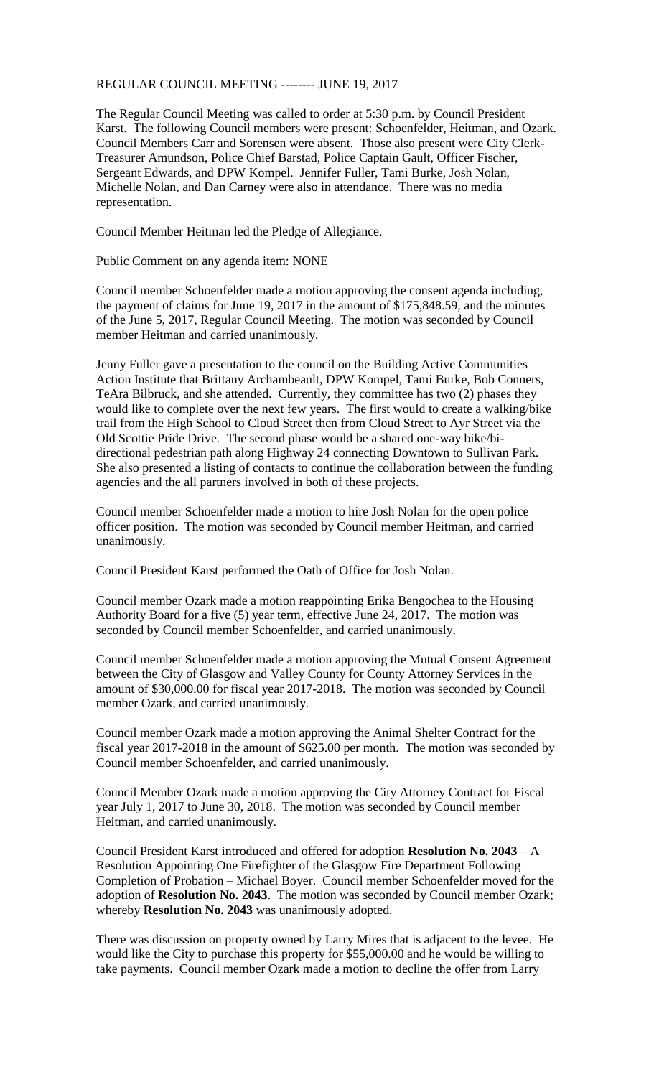## REGULAR COUNCIL MEETING -------- JUNE 19, 2017

The Regular Council Meeting was called to order at 5:30 p.m. by Council President Karst. The following Council members were present: Schoenfelder, Heitman, and Ozark. Council Members Carr and Sorensen were absent. Those also present were City Clerk-Treasurer Amundson, Police Chief Barstad, Police Captain Gault, Officer Fischer, Sergeant Edwards, and DPW Kompel. Jennifer Fuller, Tami Burke, Josh Nolan, Michelle Nolan, and Dan Carney were also in attendance. There was no media representation.

Council Member Heitman led the Pledge of Allegiance.

Public Comment on any agenda item: NONE

Council member Schoenfelder made a motion approving the consent agenda including, the payment of claims for June 19, 2017 in the amount of \$175,848.59, and the minutes of the June 5, 2017, Regular Council Meeting. The motion was seconded by Council member Heitman and carried unanimously.

Jenny Fuller gave a presentation to the council on the Building Active Communities Action Institute that Brittany Archambeault, DPW Kompel, Tami Burke, Bob Conners, TeAra Bilbruck, and she attended. Currently, they committee has two (2) phases they would like to complete over the next few years. The first would to create a walking/bike trail from the High School to Cloud Street then from Cloud Street to Ayr Street via the Old Scottie Pride Drive. The second phase would be a shared one-way bike/bidirectional pedestrian path along Highway 24 connecting Downtown to Sullivan Park. She also presented a listing of contacts to continue the collaboration between the funding agencies and the all partners involved in both of these projects.

Council member Schoenfelder made a motion to hire Josh Nolan for the open police officer position. The motion was seconded by Council member Heitman, and carried unanimously.

Council President Karst performed the Oath of Office for Josh Nolan.

Council member Ozark made a motion reappointing Erika Bengochea to the Housing Authority Board for a five (5) year term, effective June 24, 2017. The motion was seconded by Council member Schoenfelder, and carried unanimously.

Council member Schoenfelder made a motion approving the Mutual Consent Agreement between the City of Glasgow and Valley County for County Attorney Services in the amount of \$30,000.00 for fiscal year 2017-2018. The motion was seconded by Council member Ozark, and carried unanimously.

Council member Ozark made a motion approving the Animal Shelter Contract for the fiscal year 2017-2018 in the amount of \$625.00 per month. The motion was seconded by Council member Schoenfelder, and carried unanimously.

Council Member Ozark made a motion approving the City Attorney Contract for Fiscal year July 1, 2017 to June 30, 2018. The motion was seconded by Council member Heitman, and carried unanimously.

Council President Karst introduced and offered for adoption **Resolution No. 2043** – A Resolution Appointing One Firefighter of the Glasgow Fire Department Following Completion of Probation – Michael Boyer. Council member Schoenfelder moved for the adoption of **Resolution No. 2043**. The motion was seconded by Council member Ozark; whereby **Resolution No. 2043** was unanimously adopted.

There was discussion on property owned by Larry Mires that is adjacent to the levee. He would like the City to purchase this property for \$55,000.00 and he would be willing to take payments. Council member Ozark made a motion to decline the offer from Larry